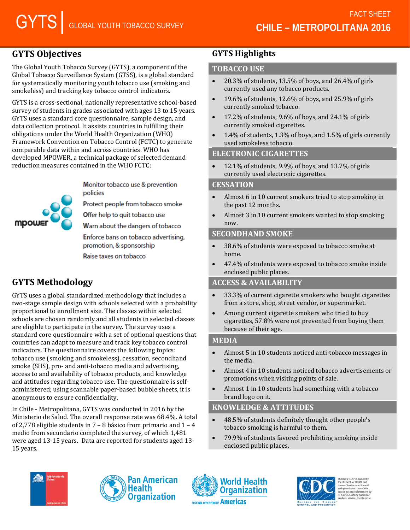# **GYTS Objectives**

The Global Youth Tobacco Survey (GYTS), a component of the Global Tobacco Surveillance System (GTSS), is a global standard for systematically monitoring youth tobacco use (smoking and smokeless) and tracking key tobacco control indicators.

GYTS is a cross-sectional, nationally representative school-based survey of students in grades associated with ages 13 to 15 years. GYTS uses a standard core questionnaire, sample design, and data collection protocol. It assists countries in fulfilling their obligations under the World Health Organization (WHO) Framework Convention on Tobacco Control (FCTC) to generate comparable data within and across countries. WHO has developed MPOWER, a technical package of selected demand reduction measures contained in the WHO FCTC:

> Monitor tobacco use & prevention policies

**Protect people from tobacco smoke** 

Offer help to quit tobacco use

Warn about the dangers of tobacco

Enforce bans on tobacco advertising. promotion, & sponsorship

Raise taxes on tobacco

# **GYTS Methodology**

mpow

GYTS uses a global standardized methodology that includes a two-stage sample design with schools selected with a probability proportional to enrollment size. The classes within selected schools are chosen randomly and all students in selected classes are eligible to participate in the survey. The survey uses a standard core questionnaire with a set of optional questions that countries can adapt to measure and track key tobacco control indicators. The questionnaire covers the following topics: tobacco use (smoking and smokeless), cessation, secondhand smoke (SHS), pro- and anti-tobacco media and advertising, access to and availability of tobacco products, and knowledge and attitudes regarding tobacco use. The questionnaire is selfadministered; using scannable paper-based bubble sheets, it is anonymous to ensure confidentiality.

In Chile - Metropolitana, GYTS was conducted in 2016 by the Ministerio de Salud. The overall response rate was 68.4%. A total of 2,778 eligible students in 7 – 8 básico from primario and 1 – 4 medio from secundario completed the survey, of which 1,481 were aged 13-15 years. Data are reported for students aged 13- 15 years.

## **GYTS Highlights**

## **TOBACCO USE**

- 20.3% of students, 13.5% of boys, and 26.4% of girls currently used any tobacco products.
- 19.6% of students, 12.6% of boys, and 25.9% of girls currently smoked tobacco.
- 17.2% of students, 9.6% of boys, and 24.1% of girls currently smoked cigarettes.
- 1.4% of students, 1.3% of boys, and 1.5% of girls currently used smokeless tobacco.

#### **ELECTRONIC CIGARETTES**

• 12.1% of students, 9.9% of boys, and 13.7% of girls currently used electronic cigarettes.

#### **CESSATION**

- Almost 6 in 10 current smokers tried to stop smoking in the past 12 months.
- Almost 3 in 10 current smokers wanted to stop smoking now.

### **SECONDHAND SMOKE**

- 38.6% of students were exposed to tobacco smoke at home.
- 47.4% of students were exposed to tobacco smoke inside enclosed public places.

## **ACCESS & AVAILABILITY**

- 33.3% of current cigarette smokers who bought cigarettes from a store, shop, street vendor, or supermarket.
- Among current cigarette smokers who tried to buy cigarettes, 57.8% were not prevented from buying them because of their age.

#### **MEDIA**

- Almost 5 in 10 students noticed anti-tobacco messages in the media.
- Almost 4 in 10 students noticed tobacco advertisements or promotions when visiting points of sale.
- Almost 1 in 10 students had something with a tobacco brand logo on it.

## **KNOWLEDGE & ATTITUDES**

- 48.5% of students definitely thought other people's tobacco smoking is harmful to them.
- 79.9% of students favored prohibiting smoking inside enclosed public places.